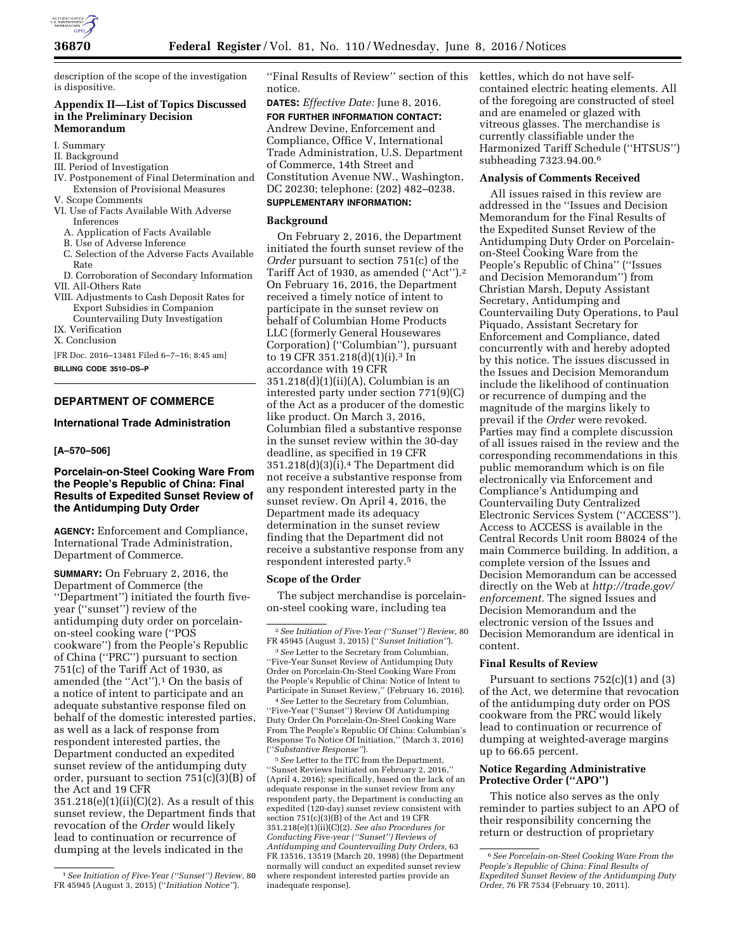

description of the scope of the investigation is dispositive.

## **Appendix II—List of Topics Discussed in the Preliminary Decision Memorandum**

#### I. Summary

## II. Background

- III. Period of Investigation
- IV. Postponement of Final Determination and Extension of Provisional Measures
- V. Scope Comments VI. Use of Facts Available With Adverse
	- Inferences A. Application of Facts Available
	- B. Use of Adverse Inference
	- C. Selection of the Adverse Facts Available Rate
- D. Corroboration of Secondary Information
- VII. All-Others Rate
- VIII. Adjustments to Cash Deposit Rates for Export Subsidies in Companion Countervailing Duty Investigation
- IX. Verification
- X. Conclusion

[FR Doc. 2016–13481 Filed 6–7–16; 8:45 am] **BILLING CODE 3510–DS–P** 

# **DEPARTMENT OF COMMERCE**

## **International Trade Administration**

## **[A–570–506]**

## **Porcelain-on-Steel Cooking Ware From the People's Republic of China: Final Results of Expedited Sunset Review of the Antidumping Duty Order**

**AGENCY:** Enforcement and Compliance, International Trade Administration, Department of Commerce.

**SUMMARY:** On February 2, 2016, the Department of Commerce (the ''Department'') initiated the fourth fiveyear (''sunset'') review of the antidumping duty order on porcelainon-steel cooking ware (''POS cookware'') from the People's Republic of China (''PRC'') pursuant to section 751(c) of the Tariff Act of 1930, as amended (the ''Act'').1 On the basis of a notice of intent to participate and an adequate substantive response filed on behalf of the domestic interested parties, as well as a lack of response from respondent interested parties, the Department conducted an expedited sunset review of the antidumping duty order, pursuant to section 751(c)(3)(B) of the Act and 19 CFR

 $351.218(e)(1)(ii)(C)(2)$ . As a result of this sunset review, the Department finds that revocation of the *Order* would likely lead to continuation or recurrence of dumping at the levels indicated in the

''Final Results of Review'' section of this notice.

**DATES:** *Effective Date:* June 8, 2016. **FOR FURTHER INFORMATION CONTACT:**  Andrew Devine, Enforcement and Compliance, Office V, International Trade Administration, U.S. Department of Commerce, 14th Street and Constitution Avenue NW., Washington, DC 20230; telephone: (202) 482–0238.

# **SUPPLEMENTARY INFORMATION:**

## **Background**

On February 2, 2016, the Department initiated the fourth sunset review of the *Order* pursuant to section 751(c) of the Tariff Act of 1930, as amended ("Act").<sup>2</sup> On February 16, 2016, the Department received a timely notice of intent to participate in the sunset review on behalf of Columbian Home Products LLC (formerly General Housewares Corporation) (''Columbian''), pursuant to 19 CFR 351.218(d)(1)(i).3 In accordance with 19 CFR 351.218(d)(1)(ii)(A), Columbian is an interested party under section 771(9)(C) of the Act as a producer of the domestic like product. On March 3, 2016, Columbian filed a substantive response in the sunset review within the 30-day deadline, as specified in 19 CFR 351.218(d)(3)(i).4 The Department did not receive a substantive response from any respondent interested party in the sunset review. On April 4, 2016, the Department made its adequacy determination in the sunset review finding that the Department did not receive a substantive response from any respondent interested party.5

## **Scope of the Order**

The subject merchandise is porcelainon-steel cooking ware, including tea

3*See* Letter to the Secretary from Columbian, ''Five-Year Sunset Review of Antidumping Duty Order on Porcelain-On-Steel Cooking Ware From the People's Republic of China: Notice of Intent to Participate in Sunset Review,'' (February 16, 2016).

4*See* Letter to the Secretary from Columbian, ''Five-Year (''Sunset'') Review Of Antidumping Duty Order On Porcelain-On-Steel Cooking Ware From The People's Republic Of China: Columbian's Response To Notice Of Initiation,'' (March 3, 2016) (''*Substantive Response''*).

5*See* Letter to the ITC from the Department, ''Sunset Reviews Initiated on February 2, 2016,'' (April 4, 2016); specifically, based on the lack of an adequate response in the sunset review from any respondent party, the Department is conducting an expedited (120-day) sunset review consistent with section 751(c)(3)(B) of the Act and 19 CFR 351.218(e)(1)(ii)(C)(2). *See also Procedures for Conducting Five-year (''Sunset'') Reviews of Antidumping and Countervailing Duty Orders,* 63 FR 13516, 13519 (March 20, 1998) (the Department normally will conduct an expedited sunset review where respondent interested parties provide an inadequate response).

kettles, which do not have selfcontained electric heating elements. All of the foregoing are constructed of steel and are enameled or glazed with vitreous glasses. The merchandise is currently classifiable under the Harmonized Tariff Schedule (''HTSUS'') subheading 7323.94.00.6

## **Analysis of Comments Received**

All issues raised in this review are addressed in the ''Issues and Decision Memorandum for the Final Results of the Expedited Sunset Review of the Antidumping Duty Order on Porcelainon-Steel Cooking Ware from the People's Republic of China'' (''Issues and Decision Memorandum'') from Christian Marsh, Deputy Assistant Secretary, Antidumping and Countervailing Duty Operations, to Paul Piquado, Assistant Secretary for Enforcement and Compliance, dated concurrently with and hereby adopted by this notice. The issues discussed in the Issues and Decision Memorandum include the likelihood of continuation or recurrence of dumping and the magnitude of the margins likely to prevail if the *Order* were revoked. Parties may find a complete discussion of all issues raised in the review and the corresponding recommendations in this public memorandum which is on file electronically via Enforcement and Compliance's Antidumping and Countervailing Duty Centralized Electronic Services System (''ACCESS''). Access to ACCESS is available in the Central Records Unit room B8024 of the main Commerce building. In addition, a complete version of the Issues and Decision Memorandum can be accessed directly on the Web at *[http://trade.gov/](http://trade.gov/enforcement)  [enforcement.](http://trade.gov/enforcement)* The signed Issues and Decision Memorandum and the electronic version of the Issues and Decision Memorandum are identical in content.

#### **Final Results of Review**

Pursuant to sections  $752(c)(1)$  and  $(3)$ of the Act, we determine that revocation of the antidumping duty order on POS cookware from the PRC would likely lead to continuation or recurrence of dumping at weighted-average margins up to 66.65 percent.

## **Notice Regarding Administrative Protective Order (''APO'')**

This notice also serves as the only reminder to parties subject to an APO of their responsibility concerning the return or destruction of proprietary

<sup>1</sup>*See Initiation of Five-Year (''Sunset'') Review,* 80 FR 45945 (August 3, 2015) (''*Initiation Notice''*).

<sup>2</sup>*See Initiation of Five-Year (''Sunset'') Review,* 80 FR 45945 (August 3, 2015) (''*Sunset Initiation''*).

<sup>6</sup>*See Porcelain-on-Steel Cooking Ware From the People's Republic of China: Final Results of Expedited Sunset Review of the Antidumping Duty Order,* 76 FR 7534 (February 10, 2011).